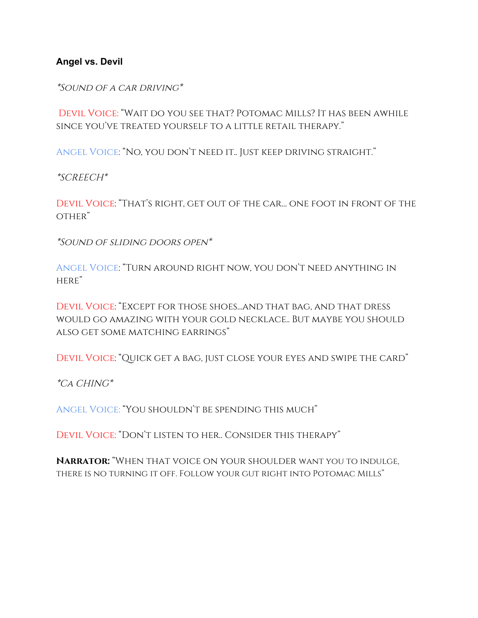**Angel vs. Devil**

\*Sound of a car driving\*

Devil Voice: "Wait do you see that? Potomac Mills? It has been awhile since you've treated yourself to a little retail therapy."

Angel Voice: "No, you don't need it.. Just keep driving straight."

\*SCREECH\*

Devil Voice: "That's right, get out of the car… one foot in front of the OTHER"

\*Sound of sliding doors open\*

Angel Voice: "Turn around right now, you don't need anything in here"

Devil Voice: "Except for those shoes...and that bag, and that dress would go amazing with your gold necklace.. But maybe you should also get some matching earrings"

Devil Voice: "Quick get a bag, just close your eyes and swipe the card"

\*Ca CHING\*

Angel Voice: "You shouldn't be spending this much"

Devil Voice: "Don't listen to her.. Consider this therapy"

**Narrator:** "When that voice on your shoulder want you to indulge, there is no turning it off. Follow your gut right into Potomac Mills"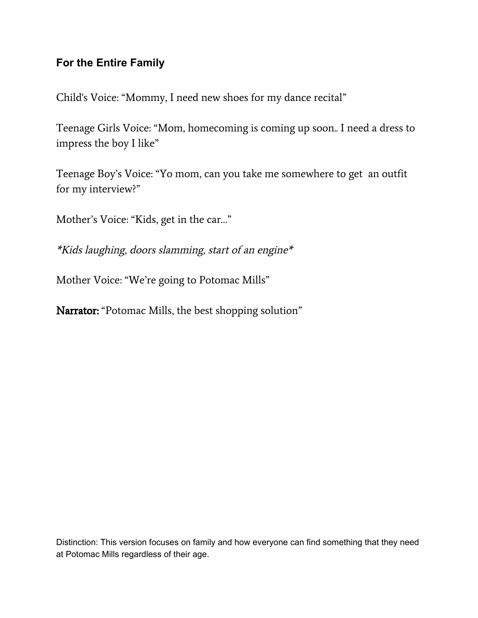## **For the Entire Family**

Child's Voice: "Mommy, I need new shoes for my dance recital"

Teenage Girls Voice: "Mom, homecoming is coming up soon.. I need a dress to impress the boy I like"

Teenage Boy's Voice: "Yo mom, can you take me somewhere to get an outfit for my interview?"

Mother's Voice: "Kids, get in the car…"

\*Kids laughing, doors slamming, start of an engine\*

Mother Voice: "We're going to Potomac Mills"

Narrator: "Potomac Mills, the best shopping solution"

Distinction: This version focuses on family and how everyone can find something that they need at Potomac Mills regardless of their age.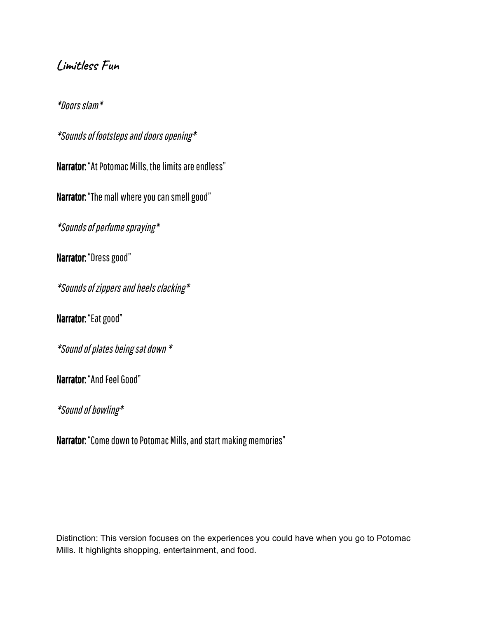## **Limitless Fun**

\*Doorsslam\*

\*Sounds of footsteps and doors opening\*

Narrator: "At Potomac Mills, the limits are endless"

Narrator: "The mall where you can smell good"

\*Sounds of perfume spraying\*

Narrator: "Dress good"

\*Sounds of zippers and heels clacking\*

Narrator: "Eat good"

\*Soundofplatesbeingsatdown\*

Narrator: "And Feel Good"

\*Sound of bowling\*

Narrator: "Come down to Potomac Mills, and start making memories"

Distinction: This version focuses on the experiences you could have when you go to Potomac Mills. It highlights shopping, entertainment, and food.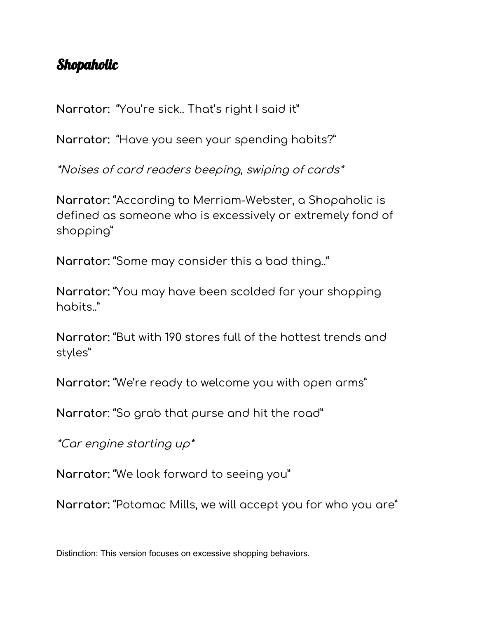## Shopaholic

**Narrator:** "You're sick.. That's right I said it"

**Narrator:** "Have you seen your spending habits?"

\*Noises of card readers beeping, swiping of cards\*

**Narrator:** "According to Merriam-Webster, a Shopaholic is defined as someone who is excessively or extremely fond of shopping"

**Narrator:** "Some may consider this a bad thing.."

**Narrator:** "You may have been scolded for your shopping habits."

**Narrator:** "But with 190 stores full of the hottest trends and styles"

**Narrator:** "We're ready to welcome you with open arms"

**Narrator**: "So grab that purse and hit the road"

\*Car engine starting up\*

**Narrator:** "We look forward to seeing you"

**Narrator:** "Potomac Mills, we will accept you for who you are"

Distinction: This version focuses on excessive shopping behaviors.